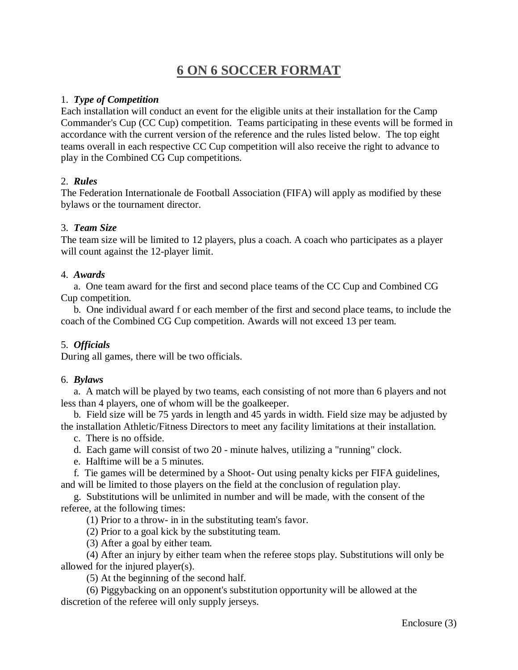# **6 ON 6 SOCCER FORMAT**

#### 1. *Type of Competition*

Each installation will conduct an event for the eligible units at their installation for the Camp Commander's Cup (CC Cup) competition. Teams participating in these events will be formed in accordance with the current version of the reference and the rules listed below. The top eight teams overall in each respective CC Cup competition will also receive the right to advance to play in the Combined CG Cup competitions.

### 2. *Rules*

The Federation Internationale de Football Association (FIFA) will apply as modified by these bylaws or the tournament director.

### 3. *Team Size*

The team size will be limited to 12 players, plus a coach. A coach who participates as a player will count against the 12-player limit.

#### 4. *Awards*

 a. One team award for the first and second place teams of the CC Cup and Combined CG Cup competition.

 b. One individual award f or each member of the first and second place teams, to include the coach of the Combined CG Cup competition. Awards will not exceed 13 per team.

## 5. *Officials*

During all games, there will be two officials.

#### 6. *Bylaws*

 a. A match will be played by two teams, each consisting of not more than 6 players and not less than 4 players, one of whom will be the goalkeeper.

 b. Field size will be 75 yards in length and 45 yards in width. Field size may be adjusted by the installation Athletic/Fitness Directors to meet any facility limitations at their installation.

c. There is no offside.

d. Each game will consist of two 20 - minute halves, utilizing a "running" clock.

e. Halftime will be a 5 minutes.

 f. Tie games will be determined by a Shoot- Out using penalty kicks per FIFA guidelines, and will be limited to those players on the field at the conclusion of regulation play.

 g. Substitutions will be unlimited in number and will be made, with the consent of the referee, at the following times:

(1) Prior to a throw- in in the substituting team's favor.

(2) Prior to a goal kick by the substituting team.

(3) After a goal by either team.

 (4) After an injury by either team when the referee stops play. Substitutions will only be allowed for the injured player(s).

(5) At the beginning of the second half.

 (6) Piggybacking on an opponent's substitution opportunity will be allowed at the discretion of the referee will only supply jerseys.